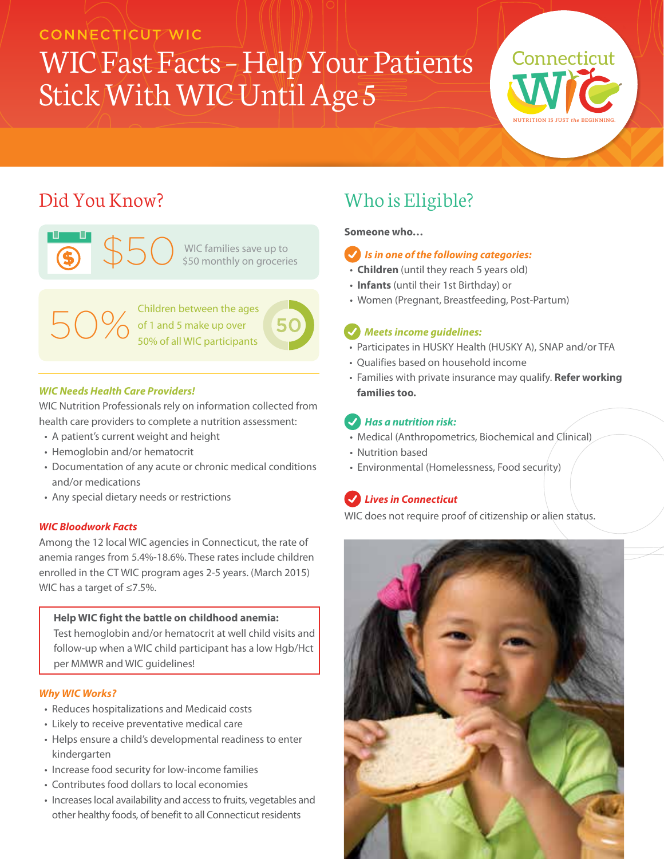### CONNECTICUT WIC

## WIC Fast Facts – Help Your Patients Stick With WIC Until Age 5



### Did You Know?





 $50\%$  Children between the ages<br>50% of 1 and 5 make up over<br>50% of all WIC participants of 1 and 5 make up over 50% of all WIC participants

### *WIC Needs Health Care Providers!*

WIC Nutrition Professionals rely on information collected from health care providers to complete a nutrition assessment:

- A patient's current weight and height
- Hemoglobin and/or hematocrit
- Documentation of any acute or chronic medical conditions and/or medications
- Any special dietary needs or restrictions

### *WIC Bloodwork Facts*

Among the 12 local WIC agencies in Connecticut, the rate of anemia ranges from 5.4%-18.6%. These rates include children enrolled in the CT WIC program ages 2-5 years. (March 2015) WIC has a target of ≤7.5%.

### **Help WIC fight the battle on childhood anemia:**

Test hemoglobin and/or hematocrit at well child visits and follow-up when a WIC child participant has a low Hgb/Hct per MMWR and WIC guidelines!

### *Why WIC Works?*

- Reduces hospitalizations and Medicaid costs
- Likely to receive preventative medical care
- Helps ensure a child's developmental readiness to enter kindergarten
- Increase food security for low-income families
- Contributes food dollars to local economies
- Increases local availability and access to fruits, vegetables and other healthy foods, of benefit to all Connecticut residents

### Who is Eligible?

**Someone who…**

### *Is in one of the following categories:*

- **Children** (until they reach 5 years old)
- **Infants** (until their 1st Birthday) or
- Women (Pregnant, Breastfeeding, Post-Partum)

### *Meets income guidelines:*

- Participates in HUSKY Health (HUSKY A), SNAP and/or TFA
- Qualifies based on household income
- Families with private insurance may qualify. **Refer working families too.**

### *Has a nutrition risk:*

- Medical (Anthropometrics, Biochemical and Clinical)
- Nutrition based
- Environmental (Homelessness, Food security)

### *Lives in Connecticut*

WIC does not require proof of citizenship or alien status.